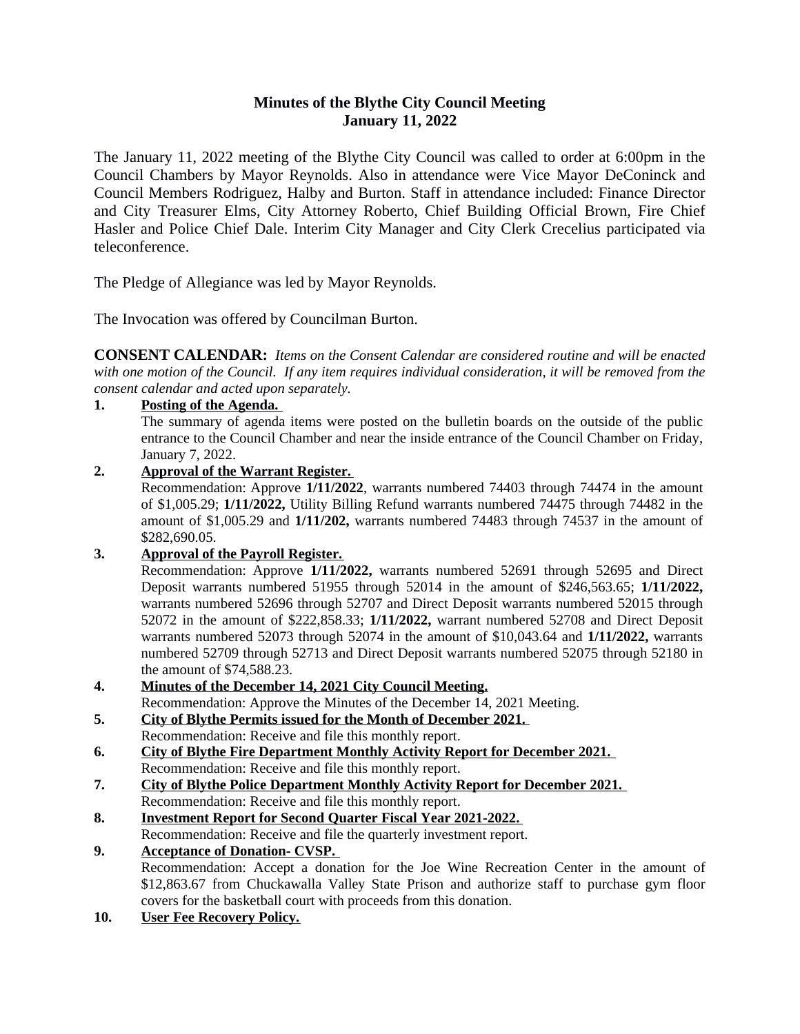# **Minutes of the Blythe City Council Meeting January 11, 2022**

The January 11, 2022 meeting of the Blythe City Council was called to order at 6:00pm in the Council Chambers by Mayor Reynolds. Also in attendance were Vice Mayor DeConinck and Council Members Rodriguez, Halby and Burton. Staff in attendance included: Finance Director and City Treasurer Elms, City Attorney Roberto, Chief Building Official Brown, Fire Chief Hasler and Police Chief Dale. Interim City Manager and City Clerk Crecelius participated via teleconference.

The Pledge of Allegiance was led by Mayor Reynolds.

The Invocation was offered by Councilman Burton.

**CONSENT CALENDAR:** *Items on the Consent Calendar are considered routine and will be enacted* with one motion of the Council. If any item requires individual consideration, it will be removed from the *consent calendar and acted upon separately.*

**1. Posting of the Agenda.** 

The summary of agenda items were posted on the bulletin boards on the outside of the public entrance to the Council Chamber and near the inside entrance of the Council Chamber on Friday, January 7, 2022.

### **2. Approval of the Warrant Register.**

Recommendation: Approve **1/11/2022**, warrants numbered 74403 through 74474 in the amount of \$1,005.29; **1/11/2022,** Utility Billing Refund warrants numbered 74475 through 74482 in the amount of \$1,005.29 and **1/11/202,** warrants numbered 74483 through 74537 in the amount of \$282,690.05.

### **3. Approval of the Payroll Register.**

Recommendation: Approve **1/11/2022,** warrants numbered 52691 through 52695 and Direct Deposit warrants numbered 51955 through 52014 in the amount of \$246,563.65; **1/11/2022,** warrants numbered 52696 through 52707 and Direct Deposit warrants numbered 52015 through 52072 in the amount of \$222,858.33; **1/11/2022,** warrant numbered 52708 and Direct Deposit warrants numbered 52073 through 52074 in the amount of \$10,043.64 and **1/11/2022,** warrants numbered 52709 through 52713 and Direct Deposit warrants numbered 52075 through 52180 in the amount of \$74,588.23.

- **4. Minutes of the December 14, 2021 City Council Meeting.** Recommendation: Approve the Minutes of the December 14, 2021 Meeting.
- **5. City of Blythe Permits issued for the Month of December 2021.**  Recommendation: Receive and file this monthly report.
- **6. City of Blythe Fire Department Monthly Activity Report for December 2021.**  Recommendation: Receive and file this monthly report.
- **7. City of Blythe Police Department Monthly Activity Report for December 2021.**  Recommendation: Receive and file this monthly report.
- **8. Investment Report for Second Quarter Fiscal Year 2021-2022.** Recommendation: Receive and file the quarterly investment report.

# **9. Acceptance of Donation- CVSP.**

Recommendation: Accept a donation for the Joe Wine Recreation Center in the amount of \$12,863.67 from Chuckawalla Valley State Prison and authorize staff to purchase gym floor covers for the basketball court with proceeds from this donation.

**10. User Fee Recovery Policy.**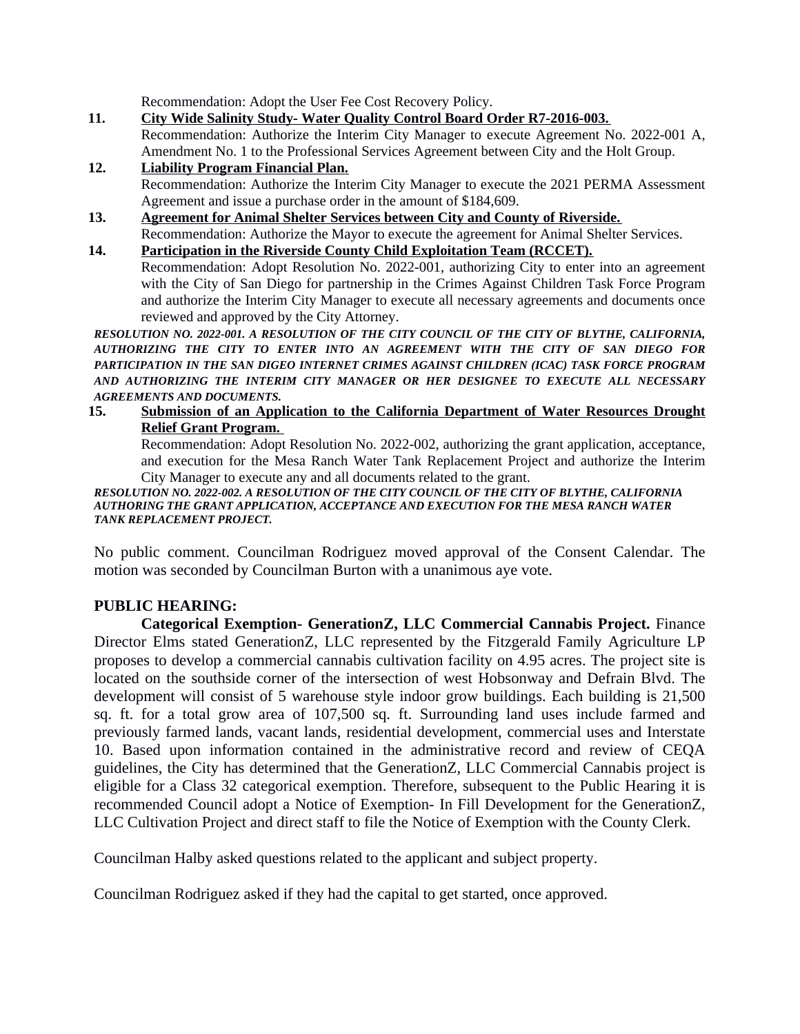Recommendation: Adopt the User Fee Cost Recovery Policy.

- **11. City Wide Salinity Study- Water Quality Control Board Order R7-2016-003.** Recommendation: Authorize the Interim City Manager to execute Agreement No. 2022-001 A, Amendment No. 1 to the Professional Services Agreement between City and the Holt Group.
- **12. Liability Program Financial Plan.** Recommendation: Authorize the Interim City Manager to execute the 2021 PERMA Assessment Agreement and issue a purchase order in the amount of \$184,609.
- **13. Agreement for Animal Shelter Services between City and County of Riverside.** Recommendation: Authorize the Mayor to execute the agreement for Animal Shelter Services.
- **14. Participation in the Riverside County Child Exploitation Team (RCCET).** Recommendation: Adopt Resolution No. 2022-001, authorizing City to enter into an agreement with the City of San Diego for partnership in the Crimes Against Children Task Force Program and authorize the Interim City Manager to execute all necessary agreements and documents once reviewed and approved by the City Attorney.

*RESOLUTION NO. 2022-001. A RESOLUTION OF THE CITY COUNCIL OF THE CITY OF BLYTHE, CALIFORNIA, AUTHORIZING THE CITY TO ENTER INTO AN AGREEMENT WITH THE CITY OF SAN DIEGO FOR PARTICIPATION IN THE SAN DIGEO INTERNET CRIMES AGAINST CHILDREN (ICAC) TASK FORCE PROGRAM AND AUTHORIZING THE INTERIM CITY MANAGER OR HER DESIGNEE TO EXECUTE ALL NECESSARY AGREEMENTS AND DOCUMENTS.* 

**15. Submission of an Application to the California Department of Water Resources Drought Relief Grant Program.** 

Recommendation: Adopt Resolution No. 2022-002, authorizing the grant application, acceptance, and execution for the Mesa Ranch Water Tank Replacement Project and authorize the Interim City Manager to execute any and all documents related to the grant.

#### *RESOLUTION NO. 2022-002. A RESOLUTION OF THE CITY COUNCIL OF THE CITY OF BLYTHE, CALIFORNIA AUTHORING THE GRANT APPLICATION, ACCEPTANCE AND EXECUTION FOR THE MESA RANCH WATER TANK REPLACEMENT PROJECT.*

No public comment. Councilman Rodriguez moved approval of the Consent Calendar. The motion was seconded by Councilman Burton with a unanimous aye vote.

### **PUBLIC HEARING:**

**Categorical Exemption- GenerationZ, LLC Commercial Cannabis Project.** Finance Director Elms stated GenerationZ, LLC represented by the Fitzgerald Family Agriculture LP proposes to develop a commercial cannabis cultivation facility on 4.95 acres. The project site is located on the southside corner of the intersection of west Hobsonway and Defrain Blvd. The development will consist of 5 warehouse style indoor grow buildings. Each building is 21,500 sq. ft. for a total grow area of 107,500 sq. ft. Surrounding land uses include farmed and previously farmed lands, vacant lands, residential development, commercial uses and Interstate 10. Based upon information contained in the administrative record and review of CEQA guidelines, the City has determined that the GenerationZ, LLC Commercial Cannabis project is eligible for a Class 32 categorical exemption. Therefore, subsequent to the Public Hearing it is recommended Council adopt a Notice of Exemption- In Fill Development for the GenerationZ, LLC Cultivation Project and direct staff to file the Notice of Exemption with the County Clerk.

Councilman Halby asked questions related to the applicant and subject property.

Councilman Rodriguez asked if they had the capital to get started, once approved.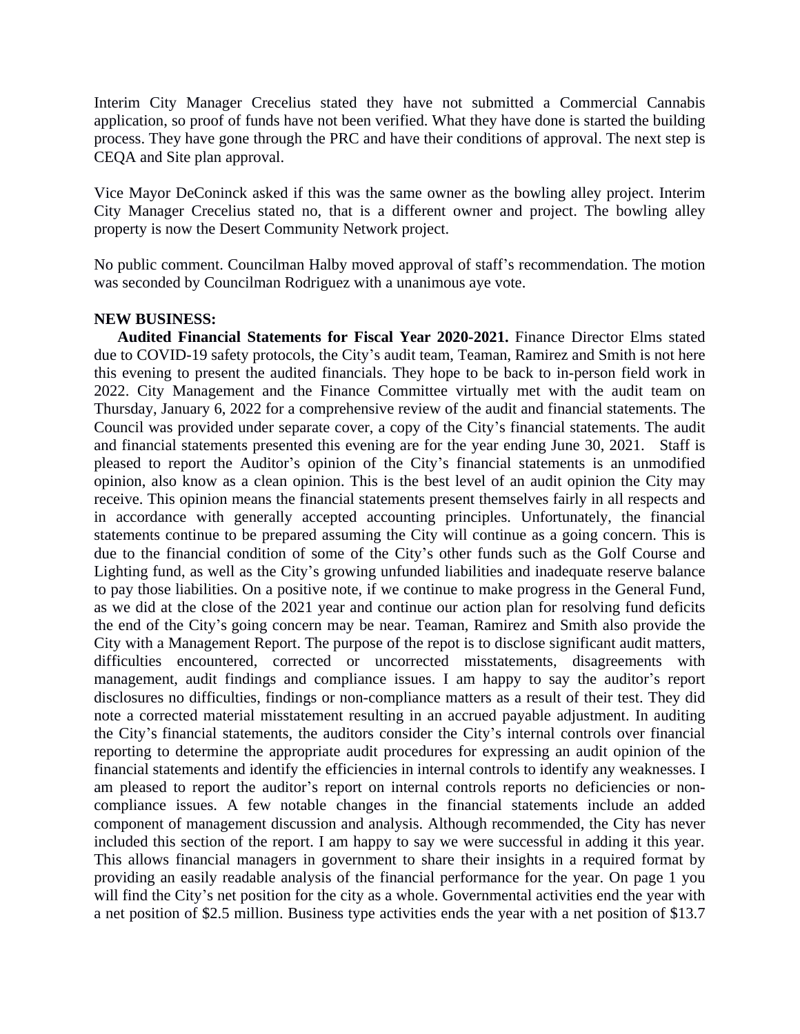Interim City Manager Crecelius stated they have not submitted a Commercial Cannabis application, so proof of funds have not been verified. What they have done is started the building process. They have gone through the PRC and have their conditions of approval. The next step is CEQA and Site plan approval.

Vice Mayor DeConinck asked if this was the same owner as the bowling alley project. Interim City Manager Crecelius stated no, that is a different owner and project. The bowling alley property is now the Desert Community Network project.

No public comment. Councilman Halby moved approval of staff's recommendation. The motion was seconded by Councilman Rodriguez with a unanimous aye vote.

#### **NEW BUSINESS:**

**Audited Financial Statements for Fiscal Year 2020-2021.** Finance Director Elms stated due to COVID-19 safety protocols, the City's audit team, Teaman, Ramirez and Smith is not here this evening to present the audited financials. They hope to be back to in-person field work in 2022. City Management and the Finance Committee virtually met with the audit team on Thursday, January 6, 2022 for a comprehensive review of the audit and financial statements. The Council was provided under separate cover, a copy of the City's financial statements. The audit and financial statements presented this evening are for the year ending June 30, 2021. Staff is pleased to report the Auditor's opinion of the City's financial statements is an unmodified opinion, also know as a clean opinion. This is the best level of an audit opinion the City may receive. This opinion means the financial statements present themselves fairly in all respects and in accordance with generally accepted accounting principles. Unfortunately, the financial statements continue to be prepared assuming the City will continue as a going concern. This is due to the financial condition of some of the City's other funds such as the Golf Course and Lighting fund, as well as the City's growing unfunded liabilities and inadequate reserve balance to pay those liabilities. On a positive note, if we continue to make progress in the General Fund, as we did at the close of the 2021 year and continue our action plan for resolving fund deficits the end of the City's going concern may be near. Teaman, Ramirez and Smith also provide the City with a Management Report. The purpose of the repot is to disclose significant audit matters, difficulties encountered, corrected or uncorrected misstatements, disagreements with management, audit findings and compliance issues. I am happy to say the auditor's report disclosures no difficulties, findings or non-compliance matters as a result of their test. They did note a corrected material misstatement resulting in an accrued payable adjustment. In auditing the City's financial statements, the auditors consider the City's internal controls over financial reporting to determine the appropriate audit procedures for expressing an audit opinion of the financial statements and identify the efficiencies in internal controls to identify any weaknesses. I am pleased to report the auditor's report on internal controls reports no deficiencies or noncompliance issues. A few notable changes in the financial statements include an added component of management discussion and analysis. Although recommended, the City has never included this section of the report. I am happy to say we were successful in adding it this year. This allows financial managers in government to share their insights in a required format by providing an easily readable analysis of the financial performance for the year. On page 1 you will find the City's net position for the city as a whole. Governmental activities end the year with a net position of \$2.5 million. Business type activities ends the year with a net position of \$13.7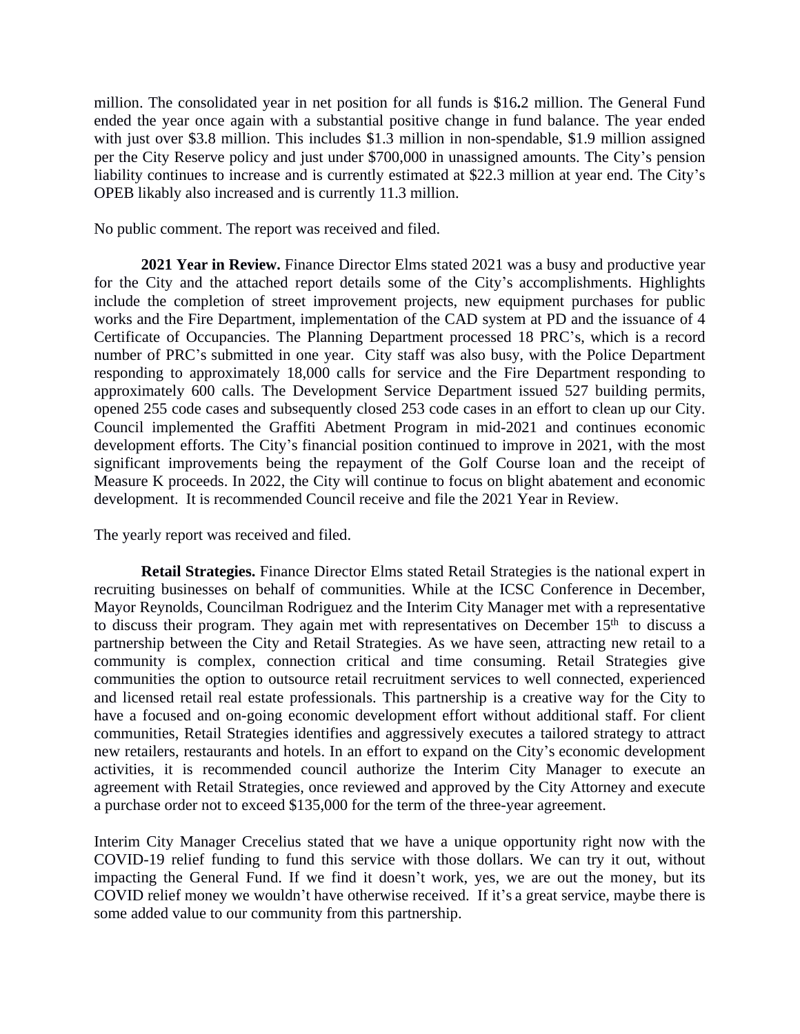million. The consolidated year in net position for all funds is \$16**.**2 million. The General Fund ended the year once again with a substantial positive change in fund balance. The year ended with just over \$3.8 million. This includes \$1.3 million in non-spendable, \$1.9 million assigned per the City Reserve policy and just under \$700,000 in unassigned amounts. The City's pension liability continues to increase and is currently estimated at \$22.3 million at year end. The City's OPEB likably also increased and is currently 11.3 million.

No public comment. The report was received and filed.

**2021 Year in Review.** Finance Director Elms stated 2021 was a busy and productive year for the City and the attached report details some of the City's accomplishments. Highlights include the completion of street improvement projects, new equipment purchases for public works and the Fire Department, implementation of the CAD system at PD and the issuance of 4 Certificate of Occupancies. The Planning Department processed 18 PRC's, which is a record number of PRC's submitted in one year. City staff was also busy, with the Police Department responding to approximately 18,000 calls for service and the Fire Department responding to approximately 600 calls. The Development Service Department issued 527 building permits, opened 255 code cases and subsequently closed 253 code cases in an effort to clean up our City. Council implemented the Graffiti Abetment Program in mid-2021 and continues economic development efforts. The City's financial position continued to improve in 2021, with the most significant improvements being the repayment of the Golf Course loan and the receipt of Measure K proceeds. In 2022, the City will continue to focus on blight abatement and economic development. It is recommended Council receive and file the 2021 Year in Review.

The yearly report was received and filed.

**Retail Strategies.** Finance Director Elms stated Retail Strategies is the national expert in recruiting businesses on behalf of communities. While at the ICSC Conference in December, Mayor Reynolds, Councilman Rodriguez and the Interim City Manager met with a representative to discuss their program. They again met with representatives on December  $15<sup>th</sup>$  to discuss a partnership between the City and Retail Strategies. As we have seen, attracting new retail to a community is complex, connection critical and time consuming. Retail Strategies give communities the option to outsource retail recruitment services to well connected, experienced and licensed retail real estate professionals. This partnership is a creative way for the City to have a focused and on-going economic development effort without additional staff. For client communities, Retail Strategies identifies and aggressively executes a tailored strategy to attract new retailers, restaurants and hotels. In an effort to expand on the City's economic development activities, it is recommended council authorize the Interim City Manager to execute an agreement with Retail Strategies, once reviewed and approved by the City Attorney and execute a purchase order not to exceed \$135,000 for the term of the three-year agreement.

Interim City Manager Crecelius stated that we have a unique opportunity right now with the COVID-19 relief funding to fund this service with those dollars. We can try it out, without impacting the General Fund. If we find it doesn't work, yes, we are out the money, but its COVID relief money we wouldn't have otherwise received. If it's a great service, maybe there is some added value to our community from this partnership.